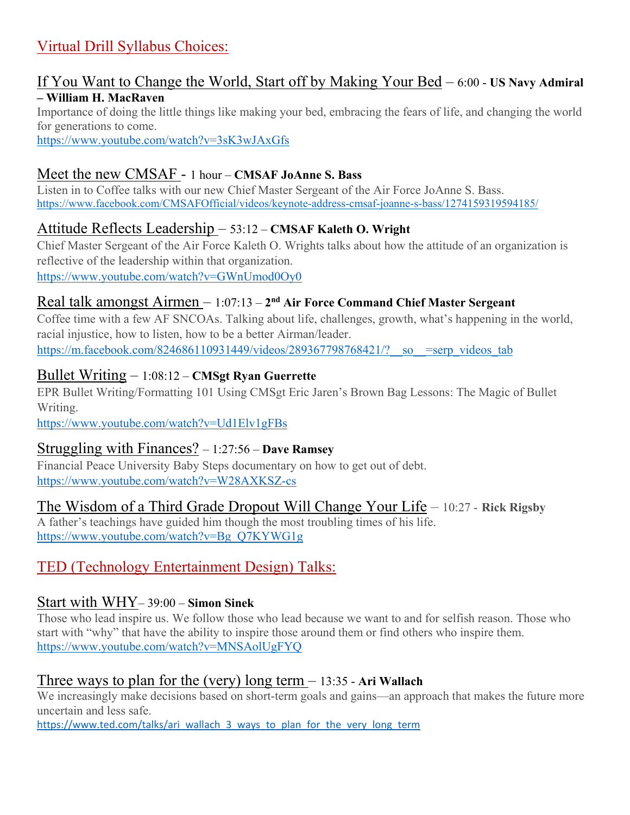# Virtual Drill Syllabus Choices:

#### If You Want to Change the World, Start off by Making Your Bed – 6:00 - **US Navy Admiral – William H. MacRaven**

Importance of doing the little things like making your bed, embracing the fears of life, and changing the world for generations to come.

<https://www.youtube.com/watch?v=3sK3wJAxGfs>

# Meet the new CMSAF - 1 hour – **CMSAF JoAnne S. Bass**

Listen in to Coffee talks with our new Chief Master Sergeant of the Air Force JoAnne S. Bass. <https://www.facebook.com/CMSAFOfficial/videos/keynote-address-cmsaf-joanne-s-bass/1274159319594185/>

## Attitude Reflects Leadership – 53:12 – **CMSAF Kaleth O. Wright**

Chief Master Sergeant of the Air Force Kaleth O. Wrights talks about how the attitude of an organization is reflective of the leadership within that organization. <https://www.youtube.com/watch?v=GWnUmod0Oy0>

#### Real talk amongst Airmen – 1:07:13 – **2nd Air Force Command Chief Master Sergeant**

Coffee time with a few AF SNCOAs. Talking about life, challenges, growth, what's happening in the world, racial injustice, how to listen, how to be a better Airman/leader. https://m.facebook.com/824686110931449/videos/289367798768421/? so =serp\_videos\_tab

#### Bullet Writing – 1:08:12 – **CMSgt Ryan Guerrette**

EPR Bullet Writing/Formatting 101 Using CMSgt Eric Jaren's Brown Bag Lessons: The Magic of Bullet Writing.

<https://www.youtube.com/watch?v=Ud1Elv1gFBs>

#### Struggling with Finances? – 1:27:56 – **Dave Ramsey**

Financial Peace University Baby Steps documentary on how to get out of debt. <https://www.youtube.com/watch?v=W28AXKSZ-cs>

The Wisdom of a Third Grade Dropout Will Change Your Life – 10:27 - **Rick Rigsby** A father's teachings have guided him though the most troubling times of his life. [https://www.youtube.com/watch?v=Bg\\_Q7KYWG1g](https://www.youtube.com/watch?v=Bg_Q7KYWG1g)

# TED (Technology Entertainment Design) Talks:

#### Start with WHY– 39:00 – **Simon Sinek**

Those who lead inspire us. We follow those who lead because we want to and for selfish reason. Those who start with "why" that have the ability to inspire those around them or find others who inspire them. <https://www.youtube.com/watch?v=MNSAolUgFYQ>

#### Three ways to plan for the (very) long term – 13:35 - **Ari Wallach**

We increasingly make decisions based on short-term goals and gains—an approach that makes the future more uncertain and less safe.

[https://www.ted.com/talks/ari\\_wallach\\_3\\_ways\\_to\\_plan\\_for\\_the\\_very\\_long\\_term](https://www.ted.com/talks/ari_wallach_3_ways_to_plan_for_the_very_long_term)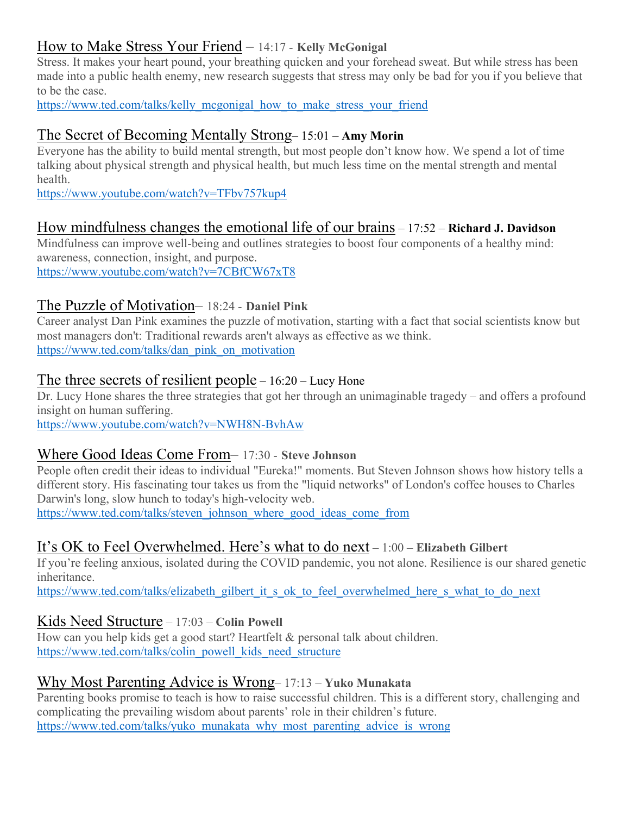# How to Make Stress Your Friend – 14:17 - **Kelly McGonigal**

Stress. It makes your heart pound, your breathing quicken and your forehead sweat. But while stress has been made into a public health enemy, new research suggests that stress may only be bad for you if you believe that to be the case.

[https://www.ted.com/talks/kelly\\_mcgonigal\\_how\\_to\\_make\\_stress\\_your\\_friend](https://www.ted.com/talks/kelly_mcgonigal_how_to_make_stress_your_friend)

## The Secret of Becoming Mentally Strong– 15:01 – **Amy Morin**

Everyone has the ability to build mental strength, but most people don't know how. We spend a lot of time talking about physical strength and physical health, but much less time on the mental strength and mental health.

<https://www.youtube.com/watch?v=TFbv757kup4>

### How mindfulness changes the emotional life of our brains – 17:52 – **Richard J. Davidson**

Mindfulness can improve well-being and outlines strategies to boost four components of a healthy mind: awareness, connection, insight, and purpose. <https://www.youtube.com/watch?v=7CBfCW67xT8>

### The Puzzle of Motivation– 18:24 - **Daniel Pink**

Career analyst Dan Pink examines the puzzle of motivation, starting with a fact that social scientists know but most managers don't: Traditional rewards aren't always as effective as we think. [https://www.ted.com/talks/dan\\_pink\\_on\\_motivation](https://www.ted.com/talks/dan_pink_on_motivation)

#### The three secrets of resilient people – 16:20 – Lucy Hone

Dr. Lucy Hone shares the three strategies that got her through an unimaginable tragedy – and offers a profound insight on human suffering.

<https://www.youtube.com/watch?v=NWH8N-BvhAw>

#### Where Good Ideas Come From– 17:30 - **Steve Johnson**

People often credit their ideas to individual "Eureka!" moments. But Steven Johnson shows how history tells a different story. His fascinating tour takes us from the "liquid networks" of London's coffee houses to Charles Darwin's long, slow hunch to today's high-velocity web.

[https://www.ted.com/talks/steven\\_johnson\\_where\\_good\\_ideas\\_come\\_from](https://www.ted.com/talks/steven_johnson_where_good_ideas_come_from)

#### It's OK to Feel Overwhelmed. Here's what to do next – 1:00 – **Elizabeth Gilbert**

If you're feeling anxious, isolated during the COVID pandemic, you not alone. Resilience is our shared genetic inheritance.

[https://www.ted.com/talks/elizabeth\\_gilbert\\_it\\_s\\_ok\\_to\\_feel\\_overwhelmed\\_here\\_s\\_what\\_to\\_do\\_next](https://www.ted.com/talks/elizabeth_gilbert_it_s_ok_to_feel_overwhelmed_here_s_what_to_do_next)

#### Kids Need Structure – 17:03 – **Colin Powell**

How can you help kids get a good start? Heartfelt & personal talk about children. [https://www.ted.com/talks/colin\\_powell\\_kids\\_need\\_structure](https://www.ted.com/talks/colin_powell_kids_need_structure)

## Why Most Parenting Advice is Wrong– 17:13 – **Yuko Munakata**

Parenting books promise to teach is how to raise successful children. This is a different story, challenging and complicating the prevailing wisdom about parents' role in their children's future. [https://www.ted.com/talks/yuko\\_munakata\\_why\\_most\\_parenting\\_advice\\_is\\_wrong](https://www.ted.com/talks/yuko_munakata_why_most_parenting_advice_is_wrong)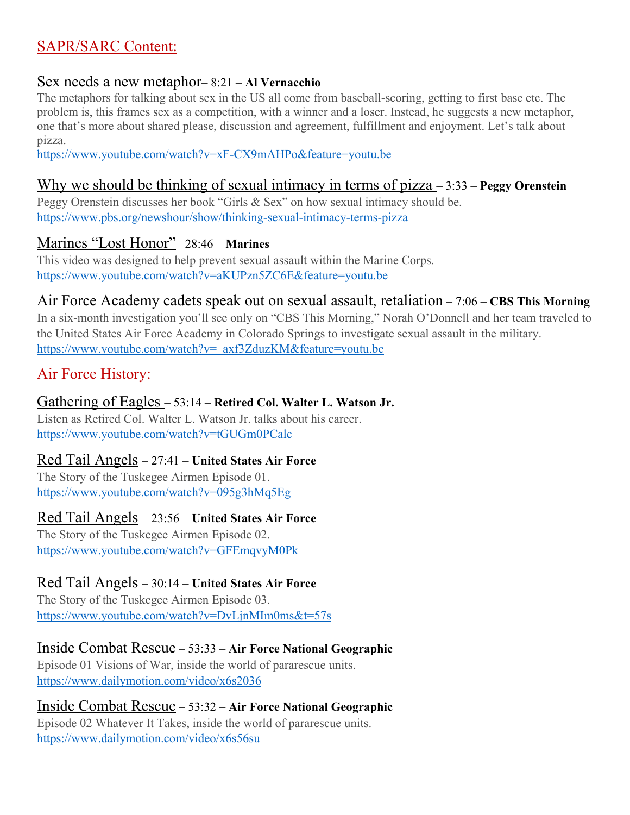# SAPR/SARC Content:

#### Sex needs a new metaphor– 8:21 – **Al Vernacchio**

The metaphors for talking about sex in the US all come from baseball-scoring, getting to first base etc. The problem is, this frames sex as a competition, with a winner and a loser. Instead, he suggests a new metaphor, one that's more about shared please, discussion and agreement, fulfillment and enjoyment. Let's talk about pizza.

<https://www.youtube.com/watch?v=xF-CX9mAHPo&feature=youtu.be>

## Why we should be thinking of sexual intimacy in terms of pizza – 3:33 – **Peggy Orenstein**

Peggy Orenstein discusses her book "Girls & Sex" on how sexual intimacy should be. <https://www.pbs.org/newshour/show/thinking-sexual-intimacy-terms-pizza>

### Marines "Lost Honor"– 28:46 – **Marines**

This video was designed to help prevent sexual assault within the Marine Corps. <https://www.youtube.com/watch?v=aKUPzn5ZC6E&feature=youtu.be>

#### Air Force Academy cadets speak out on sexual assault, retaliation – 7:06 – **CBS This Morning**

In a six-month investigation you'll see only on "CBS This Morning," Norah O'Donnell and her team traveled to the United States Air Force Academy in Colorado Springs to investigate sexual assault in the military. [https://www.youtube.com/watch?v=\\_axf3ZduzKM&feature=youtu.be](https://www.youtube.com/watch?v=_axf3ZduzKM&feature=youtu.be)

# Air Force History:

### Gathering of Eagles – 53:14 – **Retired Col. Walter L. Watson Jr.**

Listen as Retired Col. Walter L. Watson Jr. talks about his career. <https://www.youtube.com/watch?v=tGUGm0PCalc>

#### Red Tail Angels – 27:41 – **United States Air Force**

The Story of the Tuskegee Airmen Episode 01. <https://www.youtube.com/watch?v=095g3hMq5Eg>

#### Red Tail Angels – 23:56 – **United States Air Force**

The Story of the Tuskegee Airmen Episode 02. <https://www.youtube.com/watch?v=GFEmqvyM0Pk>

#### Red Tail Angels – 30:14 – **United States Air Force**

The Story of the Tuskegee Airmen Episode 03. <https://www.youtube.com/watch?v=DvLjnMIm0ms&t=57s>

#### Inside Combat Rescue – 53:33 – **Air Force National Geographic**

Episode 01 Visions of War, inside the world of pararescue units. <https://www.dailymotion.com/video/x6s2036>

#### Inside Combat Rescue – 53:32 – **Air Force National Geographic**

Episode 02 Whatever It Takes, inside the world of pararescue units. <https://www.dailymotion.com/video/x6s56su>